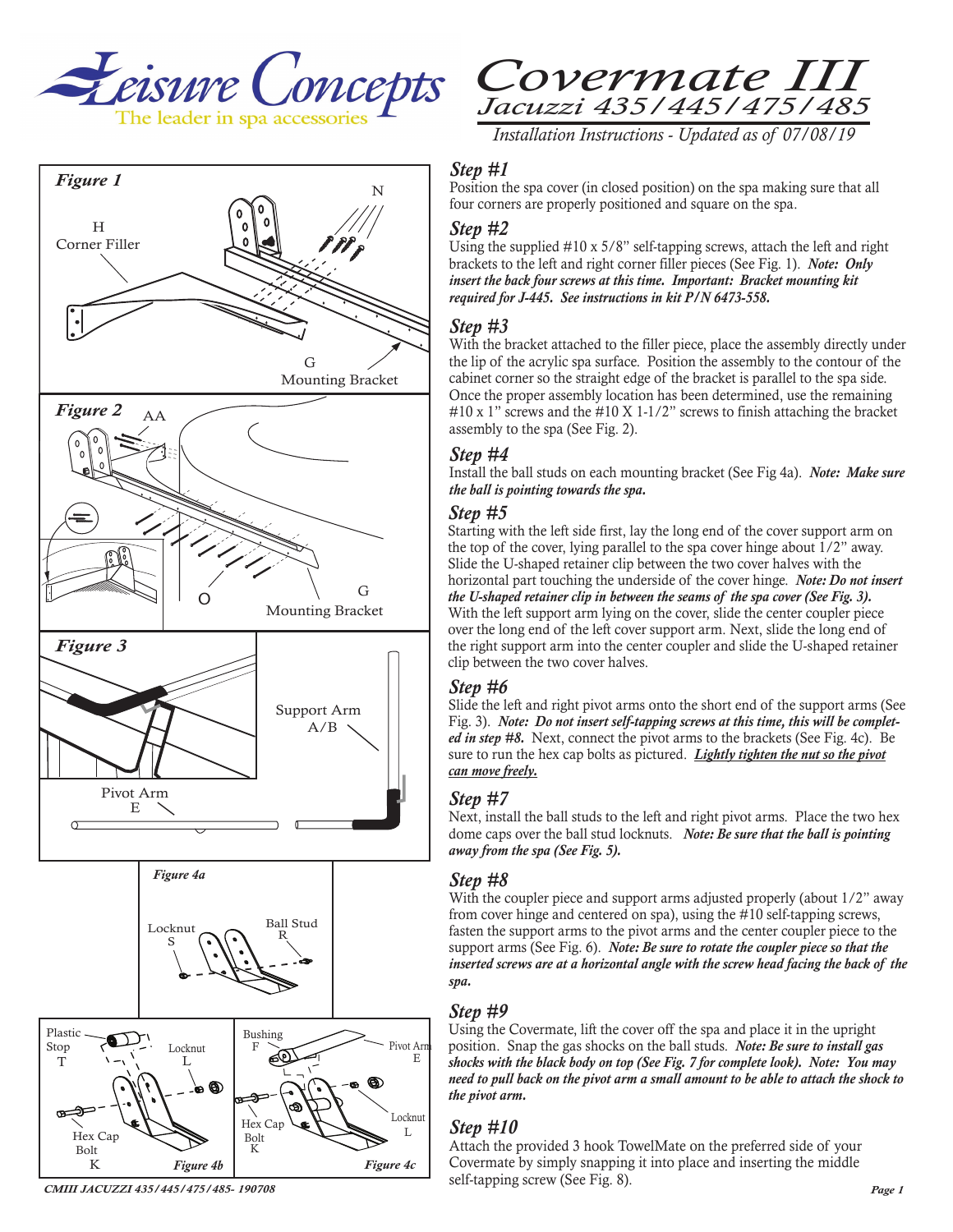







*Installation Instructions - Updated as of 07/08/19* 

# *Step #1*

Position the spa cover (in closed position) on the spa making sure that all four corners are properly positioned and square on the spa.

#### *Step #2*

Using the supplied #10 x 5/8" self-tapping screws, attach the left and right brackets to the left and right corner filler pieces (See Fig. 1). *Note: Only insert the back four screws at this time. Important: Bracket mounting kit required for J-445. See instructions in kit P/N 6473-558.*

## *Step #3*

With the bracket attached to the filler piece, place the assembly directly under the lip of the acrylic spa surface. Position the assembly to the contour of the cabinet corner so the straight edge of the bracket is parallel to the spa side. Once the proper assembly location has been determined, use the remaining  $\#10 \times 1$ " screws and the  $\#10 \times 1$ -1/2" screws to finish attaching the bracket assembly to the spa (See Fig. 2).

## *Step #4*

Install the ball studs on each mounting bracket (See Fig 4a). *Note: Make sure the ball is pointing towards the spa.*

#### *Step #5*

Starting with the left side first, lay the long end of the cover support arm on the top of the cover, lying parallel to the spa cover hinge about  $1/2$ " away. Slide the U-shaped retainer clip between the two cover halves with the horizontal part touching the underside of the cover hinge. *Note: Do not insert the U-shaped retainer clip in between the seams of the spa cover (See Fig. 3).* With the left support arm lying on the cover, slide the center coupler piece over the long end of the left cover support arm. Next, slide the long end of the right support arm into the center coupler and slide the U-shaped retainer clip between the two cover halves.

#### *Step #6*

Slide the left and right pivot arms onto the short end of the support arms (See Fig. 3). *Note: Do not insert self-tapping screws at this time, this will be completed in step #8.* Next, connect the pivot arms to the brackets (See Fig. 4c). Be sure to run the hex cap bolts as pictured. *Lightly tighten the nut so the pivot can move freely.*

#### *Step #7*

Next, install the ball studs to the left and right pivot arms. Place the two hex dome caps over the ball stud locknuts. *Note: Be sure that the ball is pointing away from the spa (See Fig. 5).*

#### *Step #8*

With the coupler piece and support arms adjusted properly (about  $1/2$ " away from cover hinge and centered on spa), using the #10 self-tapping screws, fasten the support arms to the pivot arms and the center coupler piece to the support arms (See Fig. 6). *Note: Be sure to rotate the coupler piece so that the inserted screws are at a horizontal angle with the screw head facing the back of the spa.* 

#### *Step #9*

Using the Covermate, lift the cover off the spa and place it in the upright position. Snap the gas shocks on the ball studs. *Note: Be sure to install gas shocks with the black body on top (See Fig. 7 for complete look). Note: You may need to pull back on the pivot arm a small amount to be able to attach the shock to the pivot arm.*

## *Step #10*

Attach the provided 3 hook TowelMate on the preferred side of your Covermate by simply snapping it into place and inserting the middle self-tapping screw (See Fig. 8).

*CMIII JACUZZI 435/445/475/485- 190708*